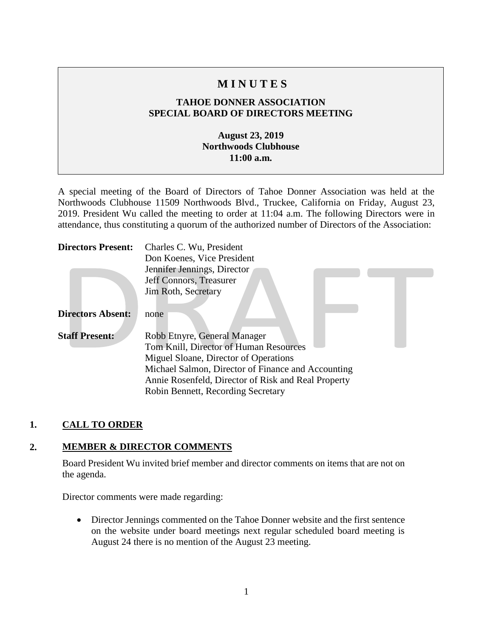# **M I N U T E S**

## **TAHOE DONNER ASSOCIATION SPECIAL BOARD OF DIRECTORS MEETING**

### **August 23, 2019 Northwoods Clubhouse 11:00 a.m.**

A special meeting of the Board of Directors of Tahoe Donner Association was held at the Northwoods Clubhouse 11509 Northwoods Blvd., Truckee, California on Friday, August 23, 2019. President Wu called the meeting to order at 11:04 a.m. The following Directors were in attendance, thus constituting a quorum of the authorized number of Directors of the Association:

| <b>Directors Present:</b> | Charles C. Wu, President                            |
|---------------------------|-----------------------------------------------------|
|                           | Don Koenes, Vice President                          |
|                           | Jennifer Jennings, Director                         |
|                           | Jeff Connors, Treasurer                             |
|                           | Jim Roth, Secretary                                 |
|                           |                                                     |
| <b>Directors Absent:</b>  | none                                                |
| <b>Staff Present:</b>     | Robb Etnyre, General Manager                        |
|                           | Tom Knill, Director of Human Resources              |
|                           | Miguel Sloane, Director of Operations               |
|                           | Michael Salmon, Director of Finance and Accounting  |
|                           | Annie Rosenfeld, Director of Risk and Real Property |
|                           | Robin Bennett, Recording Secretary                  |

### **1. CALL TO ORDER**

### **2. MEMBER & DIRECTOR COMMENTS**

Board President Wu invited brief member and director comments on items that are not on the agenda.

Director comments were made regarding:

• Director Jennings commented on the Tahoe Donner website and the first sentence on the website under board meetings next regular scheduled board meeting is August 24 there is no mention of the August 23 meeting.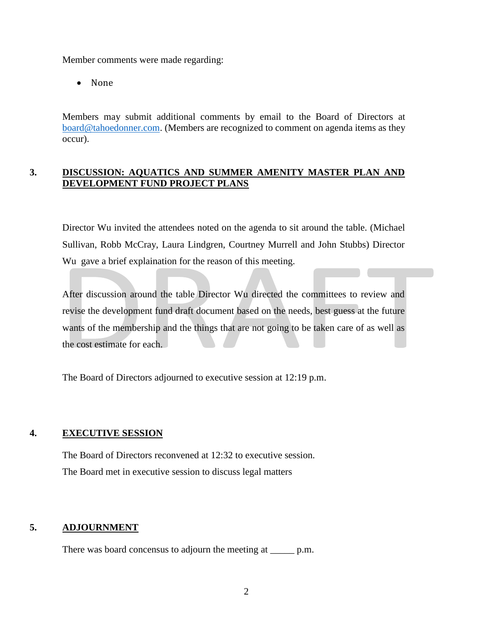Member comments were made regarding:

• None

Members may submit additional comments by email to the Board of Directors at [board@tahoedonner.com.](mailto:board@tahoedonner.com) (Members are recognized to comment on agenda items as they occur).

#### **3. DISCUSSION: AQUATICS AND SUMMER AMENITY MASTER PLAN AND DEVELOPMENT FUND PROJECT PLANS**

Director Wu invited the attendees noted on the agenda to sit around the table. (Michael Sullivan, Robb McCray, Laura Lindgren, Courtney Murrell and John Stubbs) Director Wu gave a brief explaination for the reason of this meeting.

After discussion around the table Director Wu directed the committees to review and revise the development fund draft document based on the needs, best guess at the future wants of the membership and the things that are not going to be taken care of as well as the cost estimate for each.

The Board of Directors adjourned to executive session at 12:19 p.m.

#### **4. EXECUTIVE SESSION**

The Board of Directors reconvened at 12:32 to executive session. The Board met in executive session to discuss legal matters

#### **5. ADJOURNMENT**

There was board concensus to adjourn the meeting at <u>equal</u> p.m.